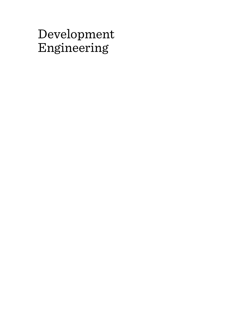# Development Engineering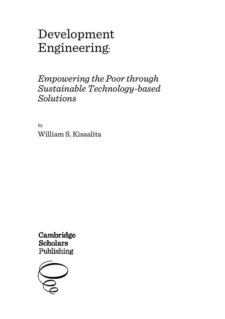# Development Engineering:

## *Empowering the Poor through Sustainable Technology-based Solutions*

By William S. Kisaalita

Cambridge **Scholars** Publishing

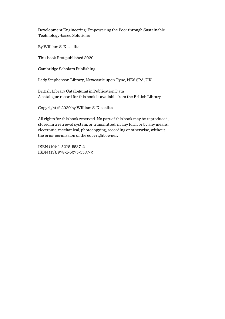By William S. Kisaalita

This book first published 2020

Cambridge Scholars Publishing

Lady Stephenson Library, Newcastle upon Tyne, NE6 2PA, UK

British Library Cataloguing in Publication Data A catalogue record for this book is available from the British Library

Copyright © 2020 by William S. Kisaalita

All rights for this book reserved. No part of this book may be reproduced, stored in a retrieval system, or transmitted, in any form or by any means, electronic, mechanical, photocopying, recording or otherwise, without the prior permission of the copyright owner.

ISBN (10): 1-5275-5537-2 ISBN (13): 978-1-5275-5537-2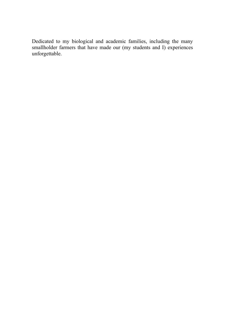Dedicated to my biological and academic families, including the many smallholder farmers that have made our (my students and I) experiences unforgettable.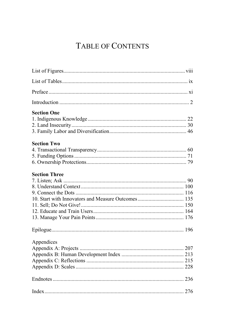## TABLE OF CONTENTS

| <b>Section One</b>   |  |
|----------------------|--|
|                      |  |
|                      |  |
|                      |  |
| <b>Section Two</b>   |  |
|                      |  |
|                      |  |
|                      |  |
| <b>Section Three</b> |  |
|                      |  |
|                      |  |
|                      |  |
|                      |  |
|                      |  |
|                      |  |
|                      |  |
|                      |  |
| Appendices           |  |
|                      |  |
|                      |  |
|                      |  |
|                      |  |
|                      |  |
|                      |  |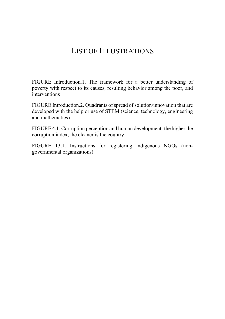## LIST OF ILLUSTRATIONS

FIGURE Introduction.1. The framework for a better understanding of poverty with respect to its causes, resulting behavior among the poor, and interventions

FIGURE Introduction.2. Quadrants of spread of solution/innovation that are developed with the help or use of STEM (science, technology, engineering and mathematics)

FIGURE 4.1. Corruption perception and human development–the higher the corruption index, the cleaner is the country

FIGURE 13.1. Instructions for registering indigenous NGOs (nongovernmental organizations)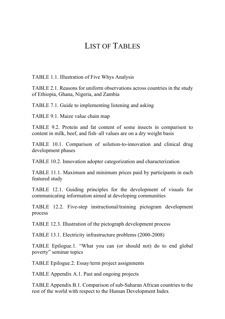## LIST OF TABLES

TABLE 1.1. Illustration of Five Whys Analysis

TABLE 2.1. Reasons for uniform observations across countries in the study of Ethiopia, Ghana, Nigeria, and Zambia

TABLE 7.1. Guide to implementing listening and asking

TABLE 9.1. Maize value chain map

TABLE 9.2. Protein and fat content of some insects in comparison to content in milk, beef, and fish–all values are on a dry weight basis

TABLE 10.1. Comparison of solution-to-innovation and clinical drug development phases

TABLE 10.2. Innovation adopter categorization and characterization

TABLE 11.1. Maximum and minimum prices paid by participants in each featured study

TABLE 12.1. Guiding principles for the development of visuals for communicating information aimed at developing communities

TABLE 12.2. Five-step instructional/training pictogram development process

TABLE 12.3. Illustration of the pictograph development process

TABLE 13.1. Electricity infrastructure problems (2000-2008)

TABLE Epilogue.1. "What you can (or should not) do to end global poverty" seminar topics

TABLE Epilogue.2. Essay/term project assignments

TABLE Appendix A.1. Past and ongoing projects

TABLE Appendix B.1. Comparison of sub-Saharan African countries to the rest of the world with respect to the Human Development Index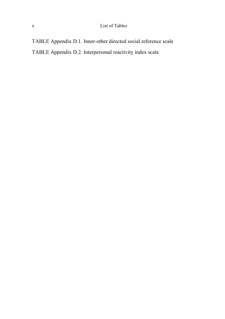## x List of Tables

TABLE Appendix D.1. Inner-other directed social reference scale TABLE Appendix D.2. Interpersonal reactivity index scale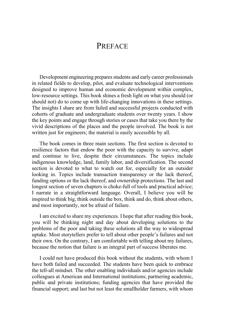## **PREFACE**

Development engineering prepares students and early career professionals in related fields to develop, pilot, and evaluate technological interventions designed to improve human and economic development within complex, low-resource settings. This book shines a fresh light on what you should (or should not) do to come up with life-changing innovations in these settings. The insights I share are from failed and successful projects conducted with cohorts of graduate and undergraduate students over twenty years. I show the key points and engage through stories or cases that take you there by the vivid descriptions of the places and the people involved. The book is not written just for engineers; the material is easily accessible by all.

The book comes in three main sections. The first section is devoted to resilience factors that endow the poor with the capacity to survive, adapt and continue to live, despite their circumstances. The topics include indigenous knowledge, land, family labor, and diversification. The second section is devoted to what to watch out for, especially for an outsider looking in. Topics include transaction transparency or the lack thereof, funding options or the lack thereof, and ownership protections. The last and longest section of seven chapters is choke-full of tools and practical advice; I narrate in a straightforward language. Overall, I believe you will be inspired to think big, think outside the box, think and do, think about others, and most importantly, not be afraid of failure.

I am excited to share my experiences. I hope that after reading this book, you will be thinking night and day about developing solutions to the problems of the poor and taking these solutions all the way to widespread uptake. Most storytellers prefer to tell about other people's failures and not their own. On the contrary, I am comfortable with telling about my failures, because the notion that failure is an integral part of success liberates me.

I could not have produced this book without the students, with whom I have both failed and succeeded. The students have been quick to embrace the tell-all mindset. The other enabling individuals and/or agencies include colleagues at American and International institutions; partnering academic, public and private institutions; funding agencies that have provided the financial support; and last but not least the smallholder farmers, with whom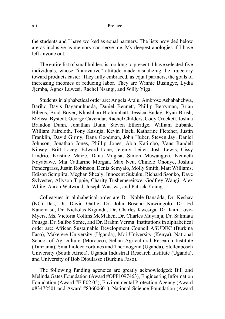### xii Preface

the students and I have worked as equal partners. The lists provided below are as inclusive as memory can serve me. My deepest apologies if I have left anyone out.

The entire list of smallholders is too long to present. I have selected five individuals, whose "innovative" attitude made visualizing the trajectory toward products easier. They fully embraced, as equal partners, the goals of increasing incomes or reducing labor. They are Winnie Busingye, Lydia Jjemba, Agnes Luwesi, Rachel Nsangi, and Willy Yiga.

Students in alphabetical order are: Angela Aralu, Ambrose Ashabahebwa, Bariho Davis Bagamuhunda, Daniel Bennett, Phillip Berryman, Brian Bibens, Brad Boyer, Khushboo Brahmbhatt, Jessica Buday, Ryan Brush, Melissa Bystedt, George Cavendar, Rachel Childers, Cody Crockett, Joshua Brandon Dunn, Jonathan Dunn, Steven Etheridge, William Eubank, William Faircloth, Tony Kasinja, Kevin Flack, Katharine Fletcher, Justin Franklin, David Girmy, Dana Goodman, John Huber, Steven Jay, Daniel Johnson, Jonathan Jones, Phillip Jones, Abia Katimbo, Vans Randell Kinsey, Britt Lacey, Edward Lane, Jeremy Leiter, Josh Lewis, Cissy Lindrio, Kristine Maize, Dana Mugisa, Simon Muwanguzi, Kenneth Ndyabawe, Mia Catharine Morgan, Max Neu, Chinelo Ononye, Joshua Pendergrass, Justin Robinson, Denis Semyalo, Molly Smith, Matt Williams, Edison Sempiira, Meghan Shealy, Innocent Sukuku, Richard Ssonko, Dave Sylvester, Allyson Tippie, Charity Tushemereirwe, Godfrey Wangi, Alex White, Aaron Watwood, Joseph Wasswa, and Patrick Young.

Colleagues in alphabetical order are Dr. Noble Banadda, Dr. Keshav (KC) Das, Dr. David Gattie, Dr. John Boscho Kawongolo, Dr. Ed Kanemasu, Dr. Nickolas Kigundu, Dr. Charles Kwesiga, Dr. Kim Love-Myers, Ms. Victoria Collins McMaken, Dr. Charles Muyanja, Dr. Salimata Pousga, Dr. Salibo Some, and Dr. Brahm Verma. Institutions in alphabetical order are: African Sustainable Development Council ASUDEC (Burkina Faso), Makerere University (Uganda), Moi University (Kenya), National School of Agriculture (Morocco), Selian Agricultural Research Institute (Tanzania), Smallholder Fortunes and Thermogenn (Uganda), Stellenbosch University (South Africa), Uganda Industrial Research Institute (Uganda), and University of Bob Dioulasso (Burkina Faso).

The following funding agencies are greatly acknowledged: Bill and Melinda Gates Foundation (Award #OPP1097463), Engineering Information Foundation (Award #EiF02.05), Environmental Protection Agency (Award #83472501 and Award #83600601), National Science Foundation (Award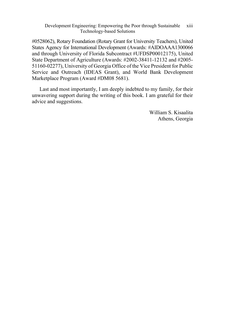#0528062), Rotary Foundation (Rotary Grant for University Teachers), United States Agency for International Development (Awards: #AIDOAAA1300066 and through University of Florida Subcontract #UFDSP00012175), United State Department of Agriculture (Awards: #2002-38411-12132 and #2005- 51160-02277), University of Georgia Office of the Vice President for Public Service and Outreach (IDEAS Grant), and World Bank Development Marketplace Program (Award #DM08 5681).

Last and most importantly, I am deeply indebted to my family, for their unwavering support during the writing of this book. I am grateful for their advice and suggestions.

> William S. Kisaalita Athens, Georgia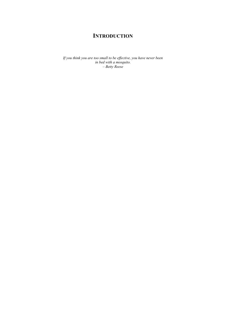## **INTRODUCTION**

*If you think you are too small to be effective, you have never been in bed with a mosquito. – Betty Reese*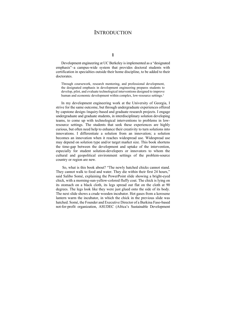## **INTRODUCTION**

**1**

Development engineering at UC Berkeley is implemented as a "designated emphasis"–a campus-wide system that provides doctoral students with certification in specialties outside their home discipline, to be added to their doctorates.

Through coursework, research mentoring, and professional development, the designated emphasis in development engineering prepares students to develop, pilot, and evaluate technological interventions designed to improve human and economic development within complex, low-resource settings.<sup>1</sup>

In my development engineering work at the University of Georgia, I strive for the same outcome, but through undergraduate experiences offered by capstone design-/inquiry-based and graduate research projects. I engage undergraduate and graduate students, in interdisciplinary solution developing teams, to come up with technological interventions to problems in lowresource settings. The students that seek these experiences are highly curious, but often need help to enhance their creativity to turn solutions into innovations. I differentiate a solution from an innovation; a solution becomes an innovation when it reaches widespread use. Widespread use may depend on solution type and/or target market size. This book shortens the time-gap between the development and uptake of the intervention, especially for student solution-developers or innovators to whom the cultural and geopolitical environment settings of the problem-source country or region are new.

 So, what is this book about? "The newly hatched chicks cannot stand. They cannot walk to food and water. They die within their first 24 hours," said Salibo Somé, explaining the PowerPoint slide showing a bright-eyed chick, with a morning-sun-yellow-colored fluffy coat. The chick is lying on its stomach on a black cloth, its legs spread out flat on the cloth at 90 degrees. The legs look like they were just glued onto the side of its body. The next slide shows a crude wooden incubator. Hot gases from a kerosene lantern warm the incubator, in which the chick in the previous slide was hatched. Somé, the Founder and Executive Director of a Burkina Faso-based not-for-profit organization, ASUDEC (Africa's Sustainable Development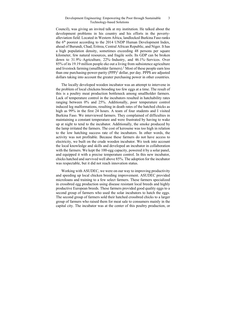Council), was giving an invited talk at my institution. He talked about the development problems in his country and his efforts in the povertyalleviation field. Located in Western Africa, landlocked Burkina Faso ranks the 6th poorest according to the 2014 UNDP Human Development Index, ahead of Burundi, Chad, Eritrea, Central African Republic, and Niger. It has a high population density, sometimes exceeding 48 persons per square kilometer, few natural resources, and fragile soils. Its GDP can be broken down to 31.9%–Agriculture, 22%–Industry, and 46.1%–Services. Over 85% of its 19.19 million people eke out a living from subsistence agriculture and livestock farming (smallholder farmers).2 Most of these people earn less than one purchasing-power-parity (PPP)<sup>3</sup> dollar, per day. PPP\$ are adjusted dollars taking into account the greater purchasing power in other countries.

The locally developed wooden incubator was an attempt to intervene in the problem of local chickens brooding too few eggs at a time. The result of this is a poultry meat production bottleneck among smallholder farmers. Lack of temperature control in the incubators resulted in hatchability rates ranging between 0% and 25%. Additionally, poor temperature control induced leg malformations, resulting in death rates of the hatched chicks as high as 99% in the first 24 hours. A team of four students and I visited Burkina Faso. We interviewed farmers. They complained of difficulties in maintaining a constant temperature and were frustrated by having to wake up at night to tend to the incubator. Additionally, the smoke produced by the lamp irritated the farmers. The cost of kerosene was too high in relation to the low hatching success rate of the incubators. In other words, the activity was not profitable. Because these farmers do not have access to electricity, we built on the crude wooden incubator. We took into account the local knowledge and skills and developed an incubator in collaboration with the farmers. We kept the 100-egg capacity, powered it by a solar panel, and equipped it with a precise temperature control. In this new incubator, chicks hatched and survived well above 85%. The adoption for the incubator was respectable, but it did not reach innovation status.

Working with ASUDEC, we were on our way to improving productivity and speeding up local chicken breeding improvement. ASUDEC provided microloans and training to a few select farmers. These farmers specialized in crossbred egg production using disease resistant local breeds and highly productive European breeds. These farmers provided good quality eggs to a second group of farmers who used the solar incubators to hatch the eggs. The second group of farmers sold their hatched crossbred chicks to a larger group of farmers who raised them for meat sale to consumers mainly in the capital city. The incubator was at the center of this poultry production, or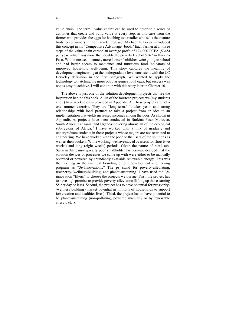### 4 Introduction

value chain. The term, "value chain" can be used to describe a series of activities that create and build value at every step, in this case from the farmer who provides the eggs for hatching to a retailer who sells the mature birds to consumers in the market. Professor Michael E. Porter introduced this concept in his "Competitive Advantage" book.<sup>4</sup> Each farmer at all three steps of the value chain earned an average profit of 174,000 FCFA (\$348) per year, which was more than double the poverty level of \$167 in Burkina Faso. With increased incomes, more farmers' children were going to school and had better access to medicines and nutritious food–indicators of improved household well-being. This story captures the meaning of development engineering at the undergraduate level consistent with the UC Berkeley definition in the first paragraph. We wanted to apply the technology to hatching the more popular guinea fowl eggs, but success was not as easy to achieve. I will continue with this story later in Chapter 10.

The above is just one of the solution development projects that are the inspiration behind this book. A list of the fourteen projects we (my students and I) have worked on is provided in Appendix A. These projects are not a one-summer exercise. They are "long-term." It takes years and strong relationships with local partners to take a project from an idea to an implementation that yields increased incomes among the poor. As shown in Appendix A, projects have been conducted in Burkina Faso, Morocco, South Africa, Tanzania, and Uganda–covering almost all of the ecological sub-regions of Africa.<sup>5</sup> I have worked with a mix of graduate and undergraduate students in these projects whose majors are not restricted to engineering. We have worked with the poor or the users of the solutions as well as their backers. While working, we have stayed overseas for short (two weeks) and long (eight weeks) periods. Given the nature of rural sub-Saharan Africans–typically poor smallholder farmers–we decided that the solution devices or processes we came up with were either to be manually operated or powered by abundantly available renewable energy. This was the first leg in the eventual branding of our development engineering program as "3*p*-Innovations." The *p*s stand for *p*overty-alleviating, *p*rosperity-/wellness-building, and *p*lanet-sustaining. I have used the 3*p*innovation "filters" to choose the projects we pursue. First, the project has to have high promise to provide poverty-alleviation (lifting up those earning \$5 per day or less). Second, the project has to have potential for prosperity- /wellness building (market potential in millions of households to support job creation and healthier lives). Third, the project has to have potential to be planet-sustaining (non-polluting, powered manually or by renewable energy, etc.).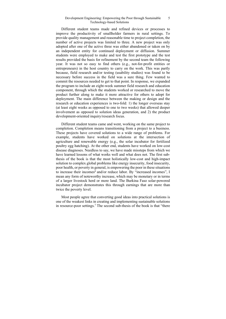Different student teams made and refined devices or processes to improve the productivity of smallholder farmers in rural settings. To provide quality management and reasonable time to project completion, the number of active projects was limited to three. A new project was only adopted after one of the active three was either abandoned or taken on by an independent entity for continued deployment or diffusion. Summer students were employed to make and test the first prototype and the test results provided the basis for refinement by the second team the following year. It was not so easy to find others (e.g., not-for-profit entities or entrepreneurs) in the host country to carry on the work. This was partly because, field research and/or testing (usability studies) was found to be necessary before success in the field was a sure thing. Few wanted to commit the resources needed to get to that point. In response, we expanded the program to include an eight-week summer field research and education component, through which the students worked or researched to move the product further along to make it more attractive for others to adopt for deployment. The main difference between the making or design and the research or education experiences is two-fold: 1) the longer overseas stay (at least eight weeks as opposed to one to two weeks) that allowed deeper involvement as opposed to solution ideas generation, and 2) the product development-oriented inquiry/research focus.

Different student teams came and went, working on the same project to completion. Completion means transitioning from a project to a business. These projects have covered solutions to a wide range of problems. For example, students have worked on solutions at the intersection of agriculture and renewable energy (e.g., the solar incubator for fertilized poultry egg hatching). At the other end, students have worked on low-cost disease diagnoses. Needless to say, we have made missteps from which we have learned lessons of what works well and what does not. The first subthesis of the book is that the most holistically low-cost and high-impact solution to complex global problems like energy insecurity, food insecurity, poor health, or poverty in general, is empowering the poor in these situations to increase their incomes<sup>6</sup> and/or reduce labor. By "increased incomes", I mean any form of noteworthy increase, which may be monetary or in terms of a larger livestock herd or more land. The Burkina Faso solar-powered incubator project demonstrates this through earnings that are more than twice the poverty level.

Most people agree that converting good ideas into practical solutions is one of the weakest links in creating and implementing sustainable solutions in resource-poor settings.<sup>7</sup> The second sub-thesis of the book is that "there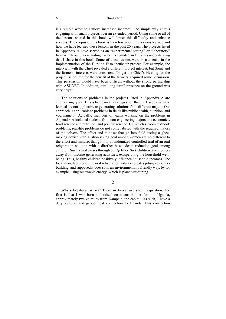### 6 Introduction

is a simple way" to achieve increased incomes. The simple way entails engaging with small projects over an extended period. Using some or all of the lessons shared in this book will lower this difficulty and enhance success. The corpus of this book is therefore about the lessons learned and how we have learned these lessons in the past 20 years. The projects listed in Appendix A have served as an "experimental setting" or "laboratory" from which our understanding has been expanded and it is this understanding that I share in this book. Some of these lessons were instrumental in the implementation of the Burkina Faso incubator project. For example, the interview with the Chief revealed a different project interest, but Somé and the farmers' interests were consistent. To get the Chief's blessing for the project, as desired for the benefit of the farmers, required some persuasion. This persuasion would have been difficult without the strong partnership with ASUDEC. In addition, our "long-term" presence on the ground was very helpful.

The solutions to problems in the projects listed in Appendix A are engineering types. This is by no means a suggestion that the lessons we have learned are not applicable to generating solutions from different majors. Our approach is applicable to problems in fields like public health, nutrition, and you name it. Actually, members of teams working on the problems in Appendix A included students from non-engineering majors like economics, food science and nutrition, and poultry science. Unlike classroom textbook problems, real-life problems do not come labeled with the required majors of the solvers. The effort and mindset that go into field-testing a gheemaking device with a labor-saving goal among women are no different to the effort and mindset that go into a randomized controlled trial of an oral rehydration solution with a diarrhea-based death reduction goal among children. Such a trial passes through our 3*p* filter. Sick children take mothers away from income-generating activities, exasperating the household wellbeing. Thus, healthy children positively influence household incomes. The local manufacturer of the oral rehydration solution creates jobs–prosperitybuilding, and supposedly does so in an environmentally friendly way, by for example, using renewable energy–which is planet-sustaining.

## **2**

Why sub-Saharan Africa? There are two answers to this question. The first is that I was born and raised on a smallholder farm in Uganda, approximately twelve miles from Kampala, the capital. As such, I have a deep cultural and geopolitical connection to Uganda. This connection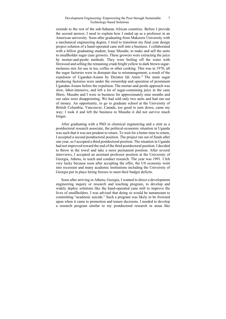extends to the rest of the sub-Saharan African countries. Before I provide the second answer, I need to explain how I ended up as a professor in an American university. Soon after graduating from Makerere University with a mechanical engineering degree, I tried to transition my final year design project solution of a hand-operated cane mill into a business. I collaborated with a fellow graduating student, Isaac Musabe, to make and sell the units to smallholder sugar cane growers. These growers were extracting the juice by mortar-and-pestle methods. They were boiling off the water with firewood and selling the remaining crude bright yellow to dark brown sugarmolasses mix for use in tea, coffee or other cooking. This was in 1978; all the sugar factories were in disrepair due to mismanagement, a result of the expulsion of Ugandan-Asians by Dictator Idi Amin. 8 The main sugar producing factories were under the ownership and operation of prominent Ugandan-Asians before the expulsion. The mortar-and-pestle approach was slow, labor-intensive, and left a lot of sugar-containing juice in the cane fibers. Musabe and I were in business for approximately nine months and our sales were disappointing. We had sold only two units and had run out of money. An opportunity, to go to graduate school at the University of British Columbia, Vancouver, Canada, too good to turn down, came my way; I took it and left the business to Musabe–it did not survive much longer.

After graduating with a PhD in chemical engineering and a stint as a postdoctoral research associate, the political-economic situation in Uganda was such that it was not prudent to return. To wait for a better time to return, I accepted a second postdoctoral position. The project ran out of funds after one year, so I accepted a third postdoctoral position. The situation in Uganda had not improved toward the end of the third postdoctoral position. I decided to throw in the towel and take a more permanent position. After several interviews, I accepted an assistant professor position at the University of Georgia, Athens, to teach and conduct research. The year was 1991. I felt very lucky because soon after accepting the offer, the US economy went into recession and many academic institutions including the University of Georgia put in place hiring freezes to meet their budget deficits.

Soon after arriving in Athens, Georgia, I wanted to direct a development engineering inquiry or research and teaching program, to develop and widely deploy solutions like the hand-operated cane mill to improve the lives of smallholders. I was advised that doing so would be tantamount to committing "academic suicide." Such a program was likely to be frowned upon when it came to promotion and tenure decisions. I needed to develop a research program similar to my postdoctoral research in areas like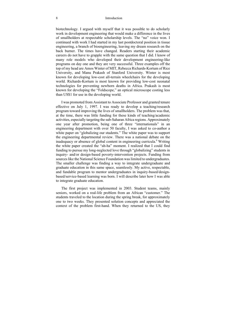### 8 Introduction

biotechnology. I argued with myself that it was possible to do scholarly work in development engineering that would make a difference in the lives of smallholders at respectable scholarship levels. The "no" voice won. I continued with work I had started in my last postdoctoral position in tissue engineering, a branch of bioengineering, leaving my dream research on the back burner. The times have changed. Readers starting their academic careers do not have to grapple with the same question that I did. I know of many role models who developed their development engineering-like programs on day one and they are very successful. Three examples off the top of my head are Amos Winter of MIT, Rebecca Richards-Kortum of Rice University, and Manu Prakash of Stanford University. Winter is most known for developing low-cost all-terrain wheelchairs for the developing world. Richards-Kortum is most known for providing low-cost neonatal technologies for preventing newborn deaths in Africa. Prakash is most known for developing the "Foldscope," an optical microscope costing less than US\$1 for use in the developing world.

I was promoted from Assistant to Associate Professor and granted tenure effective on July 1, 1997. I was ready to develop a teaching/research program toward improving the lives of smallholders. The problem was that, at the time, there was little funding for these kinds of teaching/academic activities, especially targeting the sub-Saharan Africa regions. Approximately one year after promotion, being one of three "internationals" in an engineering department with over 50 faculty, I was asked to co-author a white paper on "globalizing our students." The white paper was to support the engineering departmental review. There was a national debate on the inadequacy or absence of global content in engineering curricula.<sup>9</sup> Writing the white paper created the "ah-ha" moment. I realized that I could find funding to pursue my long-neglected love through "globalizing" students in inquiry- and/or design-based poverty-intervention projects. Funding from sources like the National Science Foundation was limited to undergraduates. The smaller challenge was finding a way to integrate undergraduate and graduate education in this same space, seamlessly. My active, respectable, and fundable program to mentor undergraduates in inquiry-based/designbased/service-based learning was born. I will describe later how I was able to integrate graduate education.

The first project was implemented in 2003. Student teams, mainly seniors, worked on a real-life problem from an African "customer." The students traveled to the location during the spring break, for approximately one to two weeks. They presented solution concepts and appreciated the context of the problem first-hand. When they returned to the US, they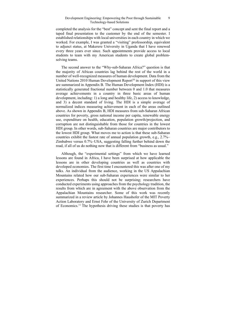completed the analysis for the "best" concept and sent the final report and a taped final presentation to the customer by the end of the semester. I established relationships with local universities in each country in which we worked. For example, I was granted a "visiting" professorship, equivalent to adjunct status, at Makerere University in Uganda that I have renewed every three years ever since. Such appointments provide access to local students to team with my American students to create global problemsolving teams.

The second answer to the "Why-sub-Saharan Africa?" question is that the majority of African countries lag behind the rest of the world in a number of well-recognized measures of human development. Data from the United Nations 2010 Human Development Report<sup>10</sup> in support of this view are summarized in Appendix B. The Human Development Index (HDI) is a statistically generated fractional number between 0 and 1.0 that measures average achievements in a country in three basic areas of human development, including: 1) a long and healthy life, 2) access to knowledge, and 3) a decent standard of living. The HDI is a simple average of normalized indices measuring achievement in each of the areas outlined above. As shown in Appendix B, HDI measures from sub-Saharan African countries for poverty, gross national income per capita, renewable energy use, expenditure on health, education, population growth/projection, and corruption are not distinguishable from those for countries in the lowest HDI group. In other words, sub-Saharan countries are major contributors to the lowest HDI group. What moves me to action is that these sub-Saharan countries exhibit the fastest rate of annual population growth, e.g., 2.7%– Zimbabwe versus 0.7%–USA, suggesting falling further behind down the road, if all of us do nothing now that is different from "business as usual."

Although, the "experimental settings" from which we have learned lessons are found in Africa, I have been surprised at how applicable the lessons are in other developing countries as well as countries with developed economies. The first time I encountered this was after one of my talks. An individual from the audience, working in the US Appalachian Mountains related how our sub-Saharan experiences were similar to her experiences. Perhaps this should not be surprising; researchers have conducted experiments using approaches from the psychology tradition, the results from which are in agreement with the above observation from the Appalachian Mountains researcher. Some of this work was recently summarized in a review article by Johannes Haushofer of the MIT Poverty Action Laboratory and Ernst Fehr of the University of Zurich Department of Economics.11 The hypothesis driving these studies is that poverty has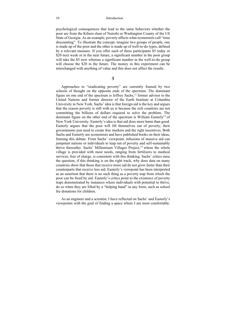psychological consequences that lead to the same behaviors whether the poor are from the Kibera slum of Nairobi or Washington County of the US State of Georgia. As an example, poverty affects what economists call "time discounting". To illustrate the concept, imagine two groups of people, one is made up of the poor and the other is made up of well-to-do types, defined by a relevant measure. If you offer each of these participants \$5 today or \$20 next week or in the near future, a significant number in the poor group will take the \$5 now whereas a significant number in the well-to-do group will choose the \$20 in the future. The money in this experiment can be interchanged with anything of value and this does not affect the results.

### **3**

Approaches to "eradicating poverty" are currently framed by two schools of thought on the opposite ends of the spectrum. The dominant figure on one end of the spectrum is Jeffrey Sachs, $^{12}$  former advisor to the United Nations and former director of the Earth Institute at Columbia University in New York. Sachs' idea is that foreign aid is the key and argues that the reason poverty is still with us is because the rich countries are not committing the billions of dollars required to solve the problem. The dominant figure on the other end of the spectrum is William Easterly<sup>13</sup> of New York University. Easterly's idea is that aid does more harm than good. Easterly argues that the poor will lift themselves out of poverty; their governments just need to create free markets and the right incentives. Both Sachs and Easterly are economists and have published books on their ideas, framing this debate. From Sachs' viewpoint, infusions of massive aid can jumpstart nations or individuals to leap out of poverty and self-sustainably thrive thereafter. Sachs' Millennium Villages Project,<sup>14</sup> where the whole village is provided with most needs, ranging from fertilizers to medical services, free of charge, is consistent with this thinking. Sachs' critics raise the question, if this thinking is on the right track, why does data on many countries show that those that receive more aid do not grow faster than their counterparts that receive less aid. Easterly's viewpoint has been interpreted as an assertion that there is no such thing as a poverty trap from which the poor can be freed by aid. Easterly's critics point to the existence of poverty traps demonstrated by instances where individuals with potential to thrive, do so when they are lifted by a "helping hand" in any form, such as school fee donations for children.

As an engineer and a scientist, I have reflected on Sachs' and Easterly's viewpoints with the goal of finding a space where I am most comfortable.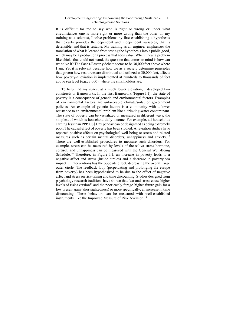It is difficult for me to say who is right or wrong or under what circumstances one is more right or more wrong than the other. In my training as a scientist, I solve problems by first establishing a hypothesis that clearly provides the dependent and independent variables, that is defensible, and that is testable. My training as an engineer emphasizes the translation of what is learned from testing the hypothesis into a public good, which may be a product or a process that adds value. When I hear a problem like chicks that could not stand, the question that comes to mind is how can we solve it? The Sachs-Easterly debate seems to be 30,000 feet above where I am. Yet it is relevant because how we as a society determine principles that govern how resources are distributed and utilized at 30,000 feet, affects how poverty-alleviation is implemented at hundreds to thousands of feet above sea level (e.g., 3,000), where the smallholders are.

To help find my space, at a much lower elevation, I developed two constructs or frameworks. In the first framework (Figure I.1), the state of poverty is a consequence of genetic and environmental factors. Examples of environmental factors are unfavorable climate/soils, or government policies. An example of genetic factors is a community with a lower resistance to an environmental problem like a drinking-water contaminant. The state of poverty can be visualized or measured in different ways, the simplest of which is household daily income. For example, all households earning less than PPP US\$1.25 per day can be designated as being extremely poor. The causal effect of poverty has been studied. Alleviation studies have reported positive effects on psychological well-being or stress and related measures such as certain mental disorders, unhappiness and anxiety.<sup>15</sup> There are well-established procedures to measure such disorders. For example, stress can be measured by levels of the saliva stress hormone, cortisol, and unhappiness can be measured with the General Well-Being Schedule.<sup>16</sup> Therefore, in Figure I.1, an increase in poverty leads to a negative affect and stress (inside circles) and a decrease in poverty via impactful interventions has the opposite effect, decreasing the overall large outer circle. The feedback loop (perpetuating and prolonging the escape from poverty) has been hypothesized to be due to the effect of negative affect and stress on risk-taking and time discounting. Studies designed from psychology research traditions have shown that fear and stress cause higher levels of risk-aversion<sup>17</sup> and the poor easily forego higher future gain for a low present gain (shortsightedness) or more specifically, an increase in time discounting. These behaviors can be measured with well-established instruments, like the Improved Measure of Risk Aversion.<sup>18</sup>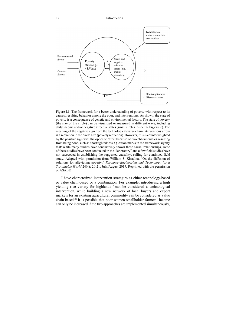

Figure I.1. The framework for a better understanding of poverty with respect to its causes, resulting behavior among the poor, and interventions. As shown, the state of poverty is a consequence of genetic and environmental factors. The state of poverty (the size of the circle) can be visualized or measured in different ways, including daily income and/or negative affective states (small circles inside the big circle). The meaning of the negative sign from the technological/value chain interventions arrow is a reduction in the circle size (poverty reduction). However, this is counterweighted by the positive sign with the opposite effect because of two characteristics resulting from being poor, such as shortsightedness. Question marks in the framework signify that: while many studies have conclusively shown these causal relationships, some of these studies have been conducted in the "laboratory" and a few field studies have not succeeded in establishing the suggested causality, calling for continued field study. Adapted with permission from William S. Kisaalita, "On the diffusion of solutions for alleviating poverty," *Resource–Engineering and Technology for a Sustainable World* 24(4): 20-21, July/August 2017. Reprinted with the permission of ASABE.

I have characterized intervention strategies as either technology-based or value chain-based or a combination. For example, introducing a high yielding rice variety for highlands 19 can be considered a technological intervention, while building a new network of local buyers and export markets for an existing agricultural commodity can be considered as value chain-based.20 It is possible that poor women smallholder farmers' income can only be increased if the two approaches are implemented simultaneously,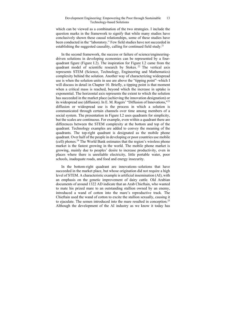which can be viewed as a combination of the two strategies. I include the question marks in the framework to signify that while many studies have conclusively shown these causal relationships, some of these studies have been conducted in the "laboratory." Few field studies have not succeeded in establishing the suggested causality, calling for continued field study.<sup>21</sup>

In the second framework, the success or failure of science/engineeringdriven solutions in developing economies can be represented by a fourquadrant figure (Figure I.2). The inspiration for Figure I.2 came from the quadrant model of scientific research by Stokes.<sup>22</sup> The vertical axis represents STEM (Science, Technology, Engineering and Mathematics) complexity behind the solution. Another way of characterizing widespread use is when the solution units in use are above the "tipping point"–which I will discuss in detail in Chapter 10. Briefly, a tipping point is that moment when a critical mass is reached, beyond which the increase in uptake is exponential. The horizontal axis represents the extent to which the solution has succeeded in the market place (achieving the innovation designation) or its widespread use (diffusion). In E. M. Rogers' "Diffusion of Innovations,"23 diffusion or widespread use is the process in which a solution is communicated through certain channels over time among members of a social system. The presentation in Figure I.2 uses quadrants for simplicity, but the scales are continuous. For example, even within a quadrant there are differences between the STEM complexity at the bottom and top of the quadrant. Technology examples are added to convey the meaning of the quadrants. The top-right quadrant is designated as the mobile phone quadrant. Over half of the people in developing or poor countries use mobile (cell) phones.24 The World Bank estimates that the region's wireless phone market is the fastest growing in the world. The mobile phone market is growing, mainly due to peoples' desire to increase productivity, even in places where there is unreliable electricity, little portable water, poor schools, inadequate roads, and food and energy insecurity.

In the bottom-right quadrant are innovations–solutions that have succeeded in the market place, but whose origination did not require a high level of STEM. A characteristic example is artificial insemination (AI), with an emphasis on the genetic improvement of dairy cattle. Old Arabian documents of around 1322 AD indicate that an Arab Chieftain, who wanted to mate his prized mare to an outstanding stallion owned by an enemy, introduced a wand of cotton into the mare's reproductive track. The Chieftain used the wand of cotton to excite the stallion sexually, causing it to ejaculate. The semen introduced into the mare resulted in conception.25 Although the development of the AI industry as we know it today has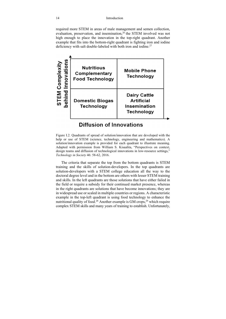required more STEM in areas of male management and semen collection, evaluation, preservation, and insemination,  $26$  the STEM involved was not high enough to place the innovation in the top-right quadrant. Another example that fits into the bottom-right quadrant is fighting iron and iodine deficiency with salt double-labeled with both iron and iodine.<sup>27</sup>



## **Diffusion of Innovations**

Figure I.2. Quadrants of spread of solution/innovation that are developed with the help or use of STEM (science, technology, engineering and mathematics). A solution/innovation example is provided for each quadrant to illustrate meaning. Adapted with permission from William S. Kisaalita, "Perspectives on context, design teams and diffusion of technological innovations in low-resource settings," *Technology in Society* 46: 58-62, 2016.

The criteria that separate the top from the bottom quadrants is STEM training and the skills of solution-developers. In the top quadrants are solution-developers with a STEM college education all the way to the doctoral degree level and in the bottom are others with lesser STEM training and skills. In the left quadrants are those solutions that have either failed in the field or require a subsidy for their continued market presence, whereas in the right quadrants are solutions that have become innovations; they are in widespread use or scaled in multiple countries or regions. A characteristic example in the top-left quadrant is using food technology to enhance the nutritional quality of food.<sup>28</sup> Another example is GM crops,<sup>29</sup> which require complex STEM skills and many years of training to establish. Unfortunately,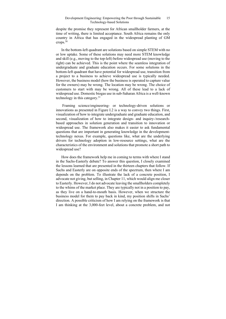despite the promise they represent for African smallholder farmers, at the time of writing, there is limited acceptance. South Africa remains the only country in Africa that has engaged in the widespread planting of GM crops.30

In the bottom-left quadrant are solutions based on simple STEM with no or low uptake. Some of these solutions may need more STEM knowledge and skill (e.g., moving to the top-left) before widespread use (moving to the right) can be achieved. This is the point where the seamless integration of undergraduate and graduate education occurs. For some solutions in the bottom-left quadrant that have potential for widespread use, transition from a project to a business to achieve widespread use is typically needed. However, the business model (how the business is operated to capture value for the owners) may be wrong. The location may be wrong. The choice of customers to start with may be wrong. All of these lead to a lack of widespread use. Domestic biogas use in sub-Saharan Africa is a well-known technology in this category.31

 Framing science/engineering- or technology-driven solutions or innovations as presented in Figure I.2 is a way to convey two things. First, visualization of how to integrate undergraduate and graduate education, and second, visualization of how to integrate design- and inquiry-/researchbased approaches in solution generation and transition to innovation or widespread use. The framework also makes it easier to ask fundamental questions that are important in generating knowledge in the developmenttechnology nexus. For example, questions like, what are the underlying drivers for technology adoption in low-resource settings, what are the characteristics of the environment and solutions that promote a short path to widespread use?

How does the framework help me in coming to terms with where I stand in the Sachs-Easterly debate? To answer this question, I closely examined the lessons learned that are presented in the thirteen chapters that follow. If Sachs and Easterly are on opposite ends of the spectrum, then where I am depends on the problem. To illustrate the lack of a concrete position, I advocate not giving, but selling, in Chapter 11, which would align me closer to Easterly. However, I do not advocate leaving the smallholders completely to the whims of the market place. They are typically not in a position to pay, as they live on a hand-to-mouth basis. However, when we structure the business model for them to pay back in kind, my position shifts in Sachs' direction. A possible criticism of how I am relying on the framework is that I am thinking at the 3,000-feet level, about a concrete problem, and not